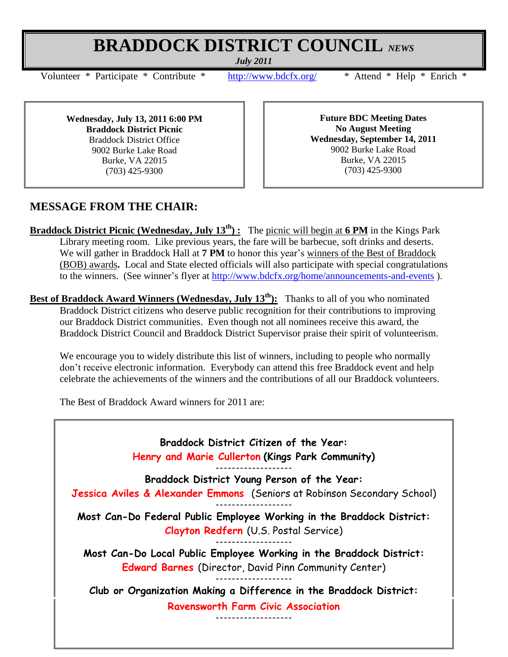## **BRADDOCK DISTRICT COUNCIL** *NEWS*

*July 2011*

Volunteer \* Participate \* Contribute \* <http://www.bdcfx.org/>\* Attend \* Help \* Enrich \*

**Wednesday, July 13, 2011 6:00 PM Braddock District Picnic** Braddock District Office 9002 Burke Lake Road Burke, VA 22015 (703) 425-9300

**Future BDC Meeting Dates No August Meeting Wednesday, September 14, 2011** 9002 Burke Lake Road Burke, VA 22015 (703) 425-9300

## **MESSAGE FROM THE CHAIR:**

**Braddock District Picnic (Wednesday, July 13th) :** The picnic will begin at **6 PM** in the Kings Park Library meeting room. Like previous years, the fare will be barbecue, soft drinks and deserts. We will gather in Braddock Hall at **7 PM** to honor this year's winners of the Best of Braddock (BOB) awards**.** Local and State elected officials will also participate with special congratulations to the winners. (See winner's flyer at <http://www.bdcfx.org/home/announcements-and-events> ).

**Best of Braddock Award Winners (Wednesday, July 13th):** Thanks to all of you who nominated Braddock District citizens who deserve public recognition for their contributions to improving our Braddock District communities. Even though not all nominees receive this award, the Braddock District Council and Braddock District Supervisor praise their spirit of volunteerism.

We encourage you to widely distribute this list of winners, including to people who normally don't receive electronic information. Everybody can attend this free Braddock event and help celebrate the achievements of the winners and the contributions of all our Braddock volunteers.

The Best of Braddock Award winners for 2011 are: